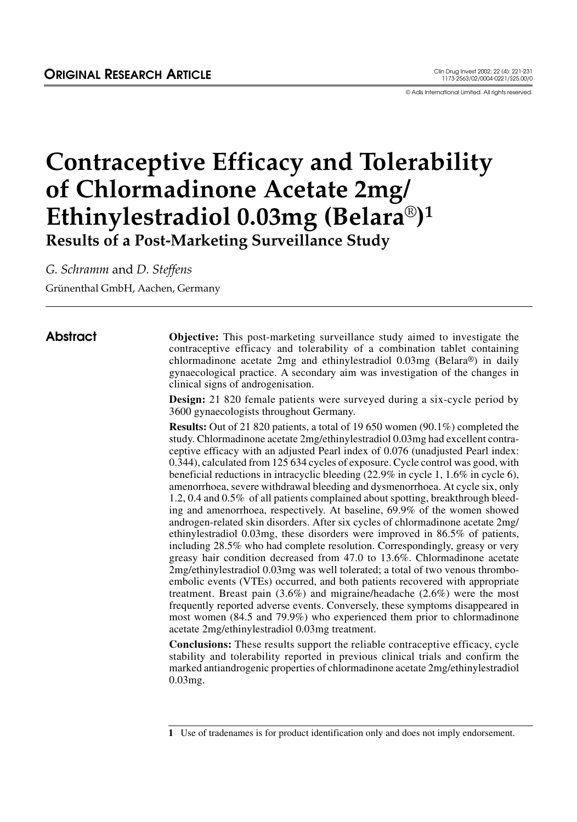© Adis International Limited. All rights reserved.

# **Contraceptive Efficacy and Tolerability of Chlormadinone Acetate 2mg/ Ethinylestradiol 0.03mg (Belara**®**)1 Results of a Post-Marketing Surveillance Study**

*G. Schramm* and *D. Steffens*

Grünenthal GmbH, Aachen, Germany

Abstract **Objective:** This post-marketing surveillance study aimed to investigate the contraceptive efficacy and tolerability of a combination tablet containing chlormadinone acetate 2mg and ethinylestradiol 0.03mg (Belara®) in daily gynaecological practice. A secondary aim was investigation of the changes in clinical signs of androgenisation.

> **Design:** 21 820 female patients were surveyed during a six-cycle period by 3600 gynaecologists throughout Germany.

> **Results:** Out of 21 820 patients, a total of 19 650 women (90.1%) completed the study. Chlormadinone acetate 2mg/ethinylestradiol 0.03mg had excellent contraceptive efficacy with an adjusted Pearl index of 0.076 (unadjusted Pearl index: 0.344), calculated from 125 634 cycles of exposure. Cycle control was good, with beneficial reductions in intracyclic bleeding (22.9% in cycle 1, 1.6% in cycle 6), amenorrhoea, severe withdrawal bleeding and dysmenorrhoea. At cycle six, only 1.2, 0.4 and 0.5% of all patients complained about spotting, breakthrough bleeding and amenorrhoea, respectively. At baseline, 69.9% of the women showed androgen-related skin disorders. After six cycles of chlormadinone acetate 2mg/ ethinylestradiol 0.03mg, these disorders were improved in 86.5% of patients, including 28.5% who had complete resolution. Correspondingly, greasy or very greasy hair condition decreased from 47.0 to 13.6%. Chlormadinone acetate 2mg/ethinylestradiol 0.03mg was well tolerated; a total of two venous thromboembolic events (VTEs) occurred, and both patients recovered with appropriate treatment. Breast pain (3.6%) and migraine/headache (2.6%) were the most frequently reported adverse events. Conversely, these symptoms disappeared in most women (84.5 and 79.9%) who experienced them prior to chlormadinone acetate 2mg/ethinylestradiol 0.03mg treatment.

> **Conclusions:** These results support the reliable contraceptive efficacy, cycle stability and tolerability reported in previous clinical trials and confirm the marked antiandrogenic properties of chlormadinone acetate 2mg/ethinylestradiol 0.03mg.

**<sup>1</sup>** Use of tradenames is for product identification only and does not imply endorsement.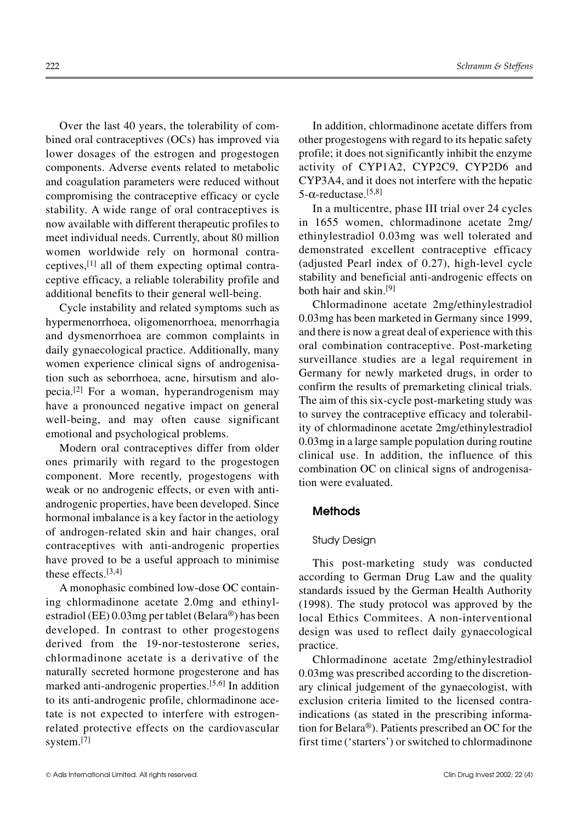Over the last 40 years, the tolerability of combined oral contraceptives (OCs) has improved via lower dosages of the estrogen and progestogen components. Adverse events related to metabolic and coagulation parameters were reduced without compromising the contraceptive efficacy or cycle stability. A wide range of oral contraceptives is now available with different therapeutic profiles to meet individual needs. Currently, about 80 million women worldwide rely on hormonal contraceptives, $[1]$  all of them expecting optimal contraceptive efficacy, a reliable tolerability profile and additional benefits to their general well-being.

Cycle instability and related symptoms such as hypermenorrhoea, oligomenorrhoea, menorrhagia and dysmenorrhoea are common complaints in daily gynaecological practice. Additionally, many women experience clinical signs of androgenisation such as seborrhoea, acne, hirsutism and alopecia.[2] For a woman, hyperandrogenism may have a pronounced negative impact on general well-being, and may often cause significant emotional and psychological problems.

Modern oral contraceptives differ from older ones primarily with regard to the progestogen component. More recently, progestogens with weak or no androgenic effects, or even with antiandrogenic properties, have been developed. Since hormonal imbalance is a key factor in the aetiology of androgen-related skin and hair changes, oral contraceptives with anti-androgenic properties have proved to be a useful approach to minimise these effects.[3,4]

A monophasic combined low-dose OC containing chlormadinone acetate 2.0mg and ethinylestradiol (EE) 0.03mg per tablet (Belara®) has been developed. In contrast to other progestogens derived from the 19-nor-testosterone series, chlormadinone acetate is a derivative of the naturally secreted hormone progesterone and has marked anti-androgenic properties.[5,6] In addition to its anti-androgenic profile, chlormadinone acetate is not expected to interfere with estrogenrelated protective effects on the cardiovascular system.<sup>[7]</sup>

In addition, chlormadinone acetate differs from other progestogens with regard to its hepatic safety profile; it does not significantly inhibit the enzyme activity of CYP1A2, CYP2C9, CYP2D6 and CYP3A4, and it does not interfere with the hepatic 5- $α$ -reductase.<sup>[5,8]</sup>

In a multicentre, phase III trial over 24 cycles in 1655 women, chlormadinone acetate 2mg/ ethinylestradiol 0.03mg was well tolerated and demonstrated excellent contraceptive efficacy (adjusted Pearl index of 0.27), high-level cycle stability and beneficial anti-androgenic effects on both hair and skin.[9]

Chlormadinone acetate 2mg/ethinylestradiol 0.03mg has been marketed in Germany since 1999, and there is now a great deal of experience with this oral combination contraceptive. Post-marketing surveillance studies are a legal requirement in Germany for newly marketed drugs, in order to confirm the results of premarketing clinical trials. The aim of this six-cycle post-marketing study was to survey the contraceptive efficacy and tolerability of chlormadinone acetate 2mg/ethinylestradiol 0.03mg in a large sample population during routine clinical use. In addition, the influence of this combination OC on clinical signs of androgenisation were evaluated.

# **Methods**

#### Study Design

This post-marketing study was conducted according to German Drug Law and the quality standards issued by the German Health Authority (1998). The study protocol was approved by the local Ethics Commitees. A non-interventional design was used to reflect daily gynaecological practice.

Chlormadinone acetate 2mg/ethinylestradiol 0.03mg was prescribed according to the discretionary clinical judgement of the gynaecologist, with exclusion criteria limited to the licensed contraindications (as stated in the prescribing information for Belara®). Patients prescribed an OC for the first time ('starters') or switched to chlormadinone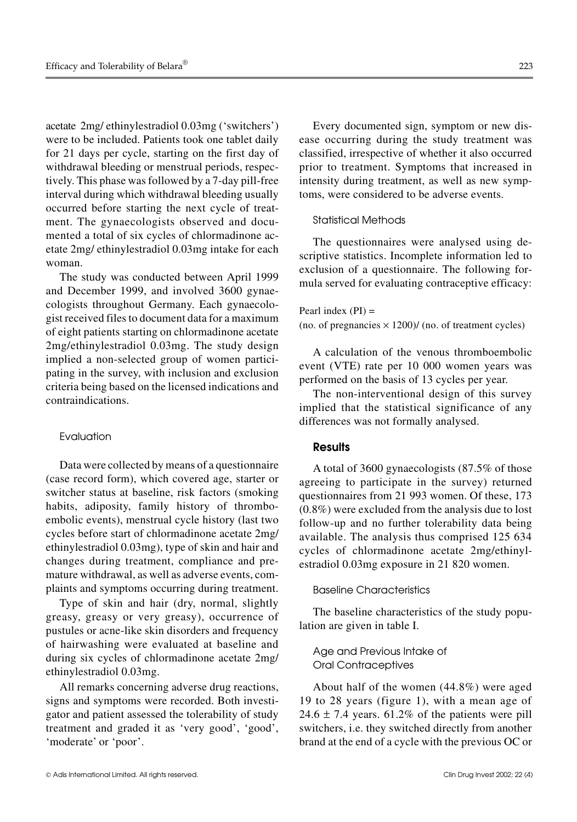acetate 2mg/ ethinylestradiol 0.03mg ('switchers') were to be included. Patients took one tablet daily for 21 days per cycle, starting on the first day of withdrawal bleeding or menstrual periods, respectively. This phase was followed by a 7-day pill-free interval during which withdrawal bleeding usually occurred before starting the next cycle of treatment. The gynaecologists observed and documented a total of six cycles of chlormadinone acetate 2mg/ ethinylestradiol 0.03mg intake for each woman.

The study was conducted between April 1999 and December 1999, and involved 3600 gynaecologists throughout Germany. Each gynaecologist received files to document data for a maximum of eight patients starting on chlormadinone acetate 2mg/ethinylestradiol 0.03mg. The study design implied a non-selected group of women participating in the survey, with inclusion and exclusion criteria being based on the licensed indications and contraindications.

#### Evaluation

Data were collected by means of a questionnaire (case record form), which covered age, starter or switcher status at baseline, risk factors (smoking habits, adiposity, family history of thromboembolic events), menstrual cycle history (last two cycles before start of chlormadinone acetate 2mg/ ethinylestradiol 0.03mg), type of skin and hair and changes during treatment, compliance and premature withdrawal, as well as adverse events, complaints and symptoms occurring during treatment.

Type of skin and hair (dry, normal, slightly greasy, greasy or very greasy), occurrence of pustules or acne-like skin disorders and frequency of hairwashing were evaluated at baseline and during six cycles of chlormadinone acetate 2mg/ ethinylestradiol 0.03mg.

All remarks concerning adverse drug reactions, signs and symptoms were recorded. Both investigator and patient assessed the tolerability of study treatment and graded it as 'very good', 'good', 'moderate' or 'poor'.

Every documented sign, symptom or new disease occurring during the study treatment was classified, irrespective of whether it also occurred prior to treatment. Symptoms that increased in intensity during treatment, as well as new symptoms, were considered to be adverse events.

#### Statistical Methods

The questionnaires were analysed using descriptive statistics. Incomplete information led to exclusion of a questionnaire. The following formula served for evaluating contraceptive efficacy:

Pearl index  $(PI)$  = (no. of pregnancies  $\times$  1200)/ (no. of treatment cycles)

A calculation of the venous thromboembolic event (VTE) rate per 10 000 women years was performed on the basis of 13 cycles per year.

The non-interventional design of this survey implied that the statistical significance of any differences was not formally analysed.

# **Results**

A total of 3600 gynaecologists (87.5% of those agreeing to participate in the survey) returned questionnaires from 21 993 women. Of these, 173 (0.8%) were excluded from the analysis due to lost follow-up and no further tolerability data being available. The analysis thus comprised 125 634 cycles of chlormadinone acetate 2mg/ethinylestradiol 0.03mg exposure in 21 820 women.

#### Baseline Characteristics

The baseline characteristics of the study population are given in table I.

# Age and Previous Intake of Oral Contraceptives

About half of the women (44.8%) were aged 19 to 28 years (figure 1), with a mean age of  $24.6 \pm 7.4$  years. 61.2% of the patients were pill switchers, i.e. they switched directly from another brand at the end of a cycle with the previous OC or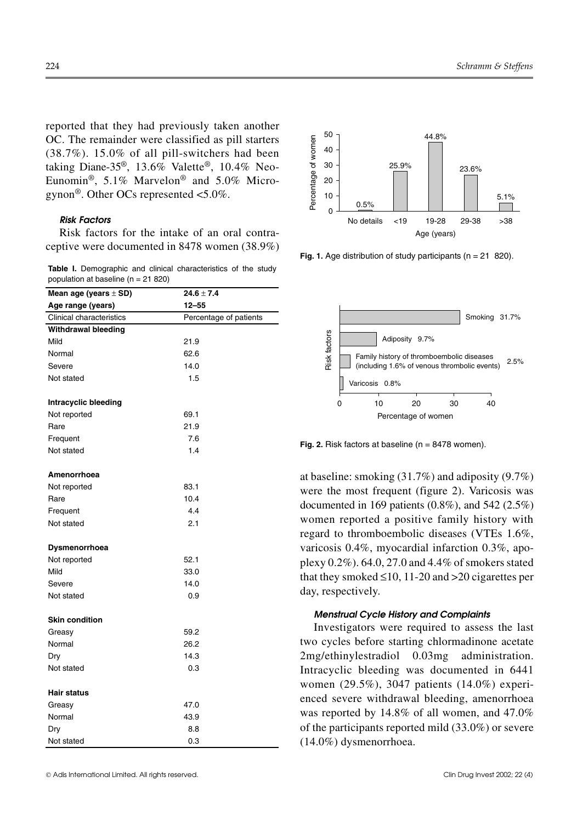reported that they had previously taken another OC. The remainder were classified as pill starters (38.7%). 15.0% of all pill-switchers had been taking Diane-35®, 13.6% Valette®, 10.4% Neo-Eunomin®, 5.1% Marvelon® and 5.0% Microgynon®. Other OCs represented <5.0%.

#### *Risk Factors*

Risk factors for the intake of an oral contraceptive were documented in 8478 women (38.9%)

|                                        |  | Table I. Demographic and clinical characteristics of the study |  |  |
|----------------------------------------|--|----------------------------------------------------------------|--|--|
| population at baseline ( $n = 21820$ ) |  |                                                                |  |  |

| Age range (years)<br>$12 - 55$<br><b>Clinical characteristics</b><br>Percentage of patients<br>Withdrawal bleeding<br>Mild<br>21.9<br>62.6<br>Normal<br>14.0<br>Severe<br>1.5<br>Not stated<br>Intracyclic bleeding<br>Not reported<br>69.1<br>Rare<br>21.9<br>7.6<br>Frequent<br>1.4<br>Not stated<br>Amenorrhoea<br>Not reported<br>83.1<br>10.4<br>Rare<br>4.4<br>Frequent<br>Not stated<br>2.1<br>Dysmenorrhoea<br>Not reported<br>52.1<br>Mild<br>33.0<br>14.0<br>Severe<br>0.9<br>Not stated<br><b>Skin condition</b><br>Greasy<br>59.2<br>Normal<br>26.2<br>14.3<br>Dry<br>Not stated<br>0.3<br>Hair status<br>47.0<br>Greasy<br>43.9<br>Normal<br>Dry<br>8.8<br>Not stated<br>0.3 | Mean age (years $\pm$ SD) | $24.6 \pm 7.4$ |  |  |
|-------------------------------------------------------------------------------------------------------------------------------------------------------------------------------------------------------------------------------------------------------------------------------------------------------------------------------------------------------------------------------------------------------------------------------------------------------------------------------------------------------------------------------------------------------------------------------------------------------------------------------------------------------------------------------------------|---------------------------|----------------|--|--|
|                                                                                                                                                                                                                                                                                                                                                                                                                                                                                                                                                                                                                                                                                           |                           |                |  |  |
|                                                                                                                                                                                                                                                                                                                                                                                                                                                                                                                                                                                                                                                                                           |                           |                |  |  |
|                                                                                                                                                                                                                                                                                                                                                                                                                                                                                                                                                                                                                                                                                           |                           |                |  |  |
|                                                                                                                                                                                                                                                                                                                                                                                                                                                                                                                                                                                                                                                                                           |                           |                |  |  |
|                                                                                                                                                                                                                                                                                                                                                                                                                                                                                                                                                                                                                                                                                           |                           |                |  |  |
|                                                                                                                                                                                                                                                                                                                                                                                                                                                                                                                                                                                                                                                                                           |                           |                |  |  |
|                                                                                                                                                                                                                                                                                                                                                                                                                                                                                                                                                                                                                                                                                           |                           |                |  |  |
|                                                                                                                                                                                                                                                                                                                                                                                                                                                                                                                                                                                                                                                                                           |                           |                |  |  |
|                                                                                                                                                                                                                                                                                                                                                                                                                                                                                                                                                                                                                                                                                           |                           |                |  |  |
|                                                                                                                                                                                                                                                                                                                                                                                                                                                                                                                                                                                                                                                                                           |                           |                |  |  |
|                                                                                                                                                                                                                                                                                                                                                                                                                                                                                                                                                                                                                                                                                           |                           |                |  |  |
|                                                                                                                                                                                                                                                                                                                                                                                                                                                                                                                                                                                                                                                                                           |                           |                |  |  |
|                                                                                                                                                                                                                                                                                                                                                                                                                                                                                                                                                                                                                                                                                           |                           |                |  |  |
|                                                                                                                                                                                                                                                                                                                                                                                                                                                                                                                                                                                                                                                                                           |                           |                |  |  |
|                                                                                                                                                                                                                                                                                                                                                                                                                                                                                                                                                                                                                                                                                           |                           |                |  |  |
|                                                                                                                                                                                                                                                                                                                                                                                                                                                                                                                                                                                                                                                                                           |                           |                |  |  |
|                                                                                                                                                                                                                                                                                                                                                                                                                                                                                                                                                                                                                                                                                           |                           |                |  |  |
|                                                                                                                                                                                                                                                                                                                                                                                                                                                                                                                                                                                                                                                                                           |                           |                |  |  |
|                                                                                                                                                                                                                                                                                                                                                                                                                                                                                                                                                                                                                                                                                           |                           |                |  |  |
|                                                                                                                                                                                                                                                                                                                                                                                                                                                                                                                                                                                                                                                                                           |                           |                |  |  |
|                                                                                                                                                                                                                                                                                                                                                                                                                                                                                                                                                                                                                                                                                           |                           |                |  |  |
|                                                                                                                                                                                                                                                                                                                                                                                                                                                                                                                                                                                                                                                                                           |                           |                |  |  |
|                                                                                                                                                                                                                                                                                                                                                                                                                                                                                                                                                                                                                                                                                           |                           |                |  |  |
|                                                                                                                                                                                                                                                                                                                                                                                                                                                                                                                                                                                                                                                                                           |                           |                |  |  |
|                                                                                                                                                                                                                                                                                                                                                                                                                                                                                                                                                                                                                                                                                           |                           |                |  |  |
|                                                                                                                                                                                                                                                                                                                                                                                                                                                                                                                                                                                                                                                                                           |                           |                |  |  |
|                                                                                                                                                                                                                                                                                                                                                                                                                                                                                                                                                                                                                                                                                           |                           |                |  |  |
|                                                                                                                                                                                                                                                                                                                                                                                                                                                                                                                                                                                                                                                                                           |                           |                |  |  |
|                                                                                                                                                                                                                                                                                                                                                                                                                                                                                                                                                                                                                                                                                           |                           |                |  |  |
|                                                                                                                                                                                                                                                                                                                                                                                                                                                                                                                                                                                                                                                                                           |                           |                |  |  |
|                                                                                                                                                                                                                                                                                                                                                                                                                                                                                                                                                                                                                                                                                           |                           |                |  |  |
|                                                                                                                                                                                                                                                                                                                                                                                                                                                                                                                                                                                                                                                                                           |                           |                |  |  |
|                                                                                                                                                                                                                                                                                                                                                                                                                                                                                                                                                                                                                                                                                           |                           |                |  |  |
|                                                                                                                                                                                                                                                                                                                                                                                                                                                                                                                                                                                                                                                                                           |                           |                |  |  |
|                                                                                                                                                                                                                                                                                                                                                                                                                                                                                                                                                                                                                                                                                           |                           |                |  |  |



**Fig. 1.** Age distribution of study participants (n = 21 820).



**Fig. 2.** Risk factors at baseline (n = 8478 women).

at baseline: smoking (31.7%) and adiposity (9.7%) were the most frequent (figure 2). Varicosis was documented in 169 patients (0.8%), and 542 (2.5%) women reported a positive family history with regard to thromboembolic diseases (VTEs 1.6%, varicosis 0.4%, myocardial infarction 0.3%, apoplexy 0.2%). 64.0, 27.0 and 4.4% of smokers stated that they smoked  $\leq 10$ , 11-20 and  $>20$  cigarettes per day, respectively.

#### *Menstrual Cycle History and Complaints*

Investigators were required to assess the last two cycles before starting chlormadinone acetate 2mg/ethinylestradiol 0.03mg administration. Intracyclic bleeding was documented in 6441 women (29.5%), 3047 patients (14.0%) experienced severe withdrawal bleeding, amenorrhoea was reported by 14.8% of all women, and 47.0% of the participants reported mild (33.0%) or severe (14.0%) dysmenorrhoea.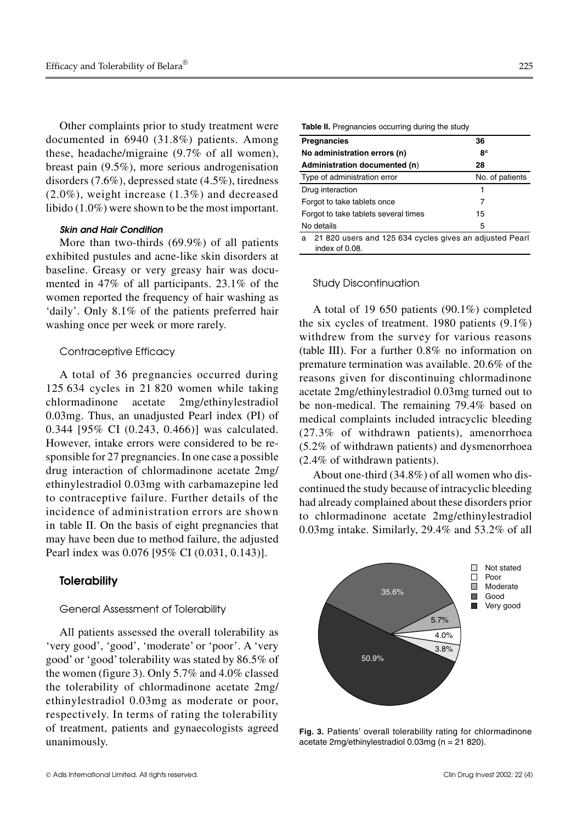Other complaints prior to study treatment were documented in 6940 (31.8%) patients. Among these, headache/migraine (9.7% of all women), breast pain (9.5%), more serious androgenisation disorders (7.6%), depressed state (4.5%), tiredness  $(2.0\%)$ , weight increase  $(1.3\%)$  and decreased libido (1.0%) were shown to be the most important.

# *Skin and Hair Condition*

More than two-thirds (69.9%) of all patients exhibited pustules and acne-like skin disorders at baseline. Greasy or very greasy hair was documented in 47% of all participants. 23.1% of the women reported the frequency of hair washing as 'daily'. Only 8.1% of the patients preferred hair washing once per week or more rarely.

#### Contraceptive Efficacy

A total of 36 pregnancies occurred during 125 634 cycles in 21 820 women while taking chlormadinone acetate 2mg/ethinylestradiol 0.03mg. Thus, an unadjusted Pearl index (PI) of 0.344 [95% CI (0.243, 0.466)] was calculated. However, intake errors were considered to be responsible for 27 pregnancies. In one case a possible drug interaction of chlormadinone acetate 2mg/ ethinylestradiol 0.03mg with carbamazepine led to contraceptive failure. Further details of the incidence of administration errors are shown in table II. On the basis of eight pregnancies that may have been due to method failure, the adjusted Pearl index was 0.076 [95% CI (0.031, 0.143)].

### **Tolerability**

#### General Assessment of Tolerability

All patients assessed the overall tolerability as 'very good', 'good', 'moderate' or 'poor'. A 'very good' or 'good'tolerability was stated by 86.5% of the women (figure 3). Only 5.7% and 4.0% classed the tolerability of chlormadinone acetate 2mg/ ethinylestradiol 0.03mg as moderate or poor, respectively. In terms of rating the tolerability of treatment, patients and gynaecologists agreed unanimously.

| <b>Table II.</b> Pregnancies occurring during the study                        |                 |  |  |  |  |
|--------------------------------------------------------------------------------|-----------------|--|--|--|--|
| <b>Pregnancies</b>                                                             | 36              |  |  |  |  |
| No administration errors (n)                                                   | $R^a$           |  |  |  |  |
| Administration documented (n)                                                  | 28              |  |  |  |  |
| Type of administration error                                                   | No. of patients |  |  |  |  |
| Drug interaction                                                               | 1               |  |  |  |  |
| Forgot to take tablets once                                                    | 7               |  |  |  |  |
| Forgot to take tablets several times                                           | 15              |  |  |  |  |
| No details                                                                     | 5               |  |  |  |  |
| 21 820 users and 125 634 cycles gives an adjusted Pearl<br>a<br>index of 0.08. |                 |  |  |  |  |

#### Study Discontinuation

A total of 19 650 patients (90.1%) completed the six cycles of treatment. 1980 patients (9.1%) withdrew from the survey for various reasons (table III). For a further 0.8% no information on premature termination was available. 20.6% of the reasons given for discontinuing chlormadinone acetate 2mg/ethinylestradiol 0.03mg turned out to be non-medical. The remaining 79.4% based on medical complaints included intracyclic bleeding (27.3% of withdrawn patients), amenorrhoea (5.2% of withdrawn patients) and dysmenorrhoea (2.4% of withdrawn patients).

About one-third (34.8%) of all women who discontinued the study because of intracyclic bleeding had already complained about these disorders prior to chlormadinone acetate 2mg/ethinylestradiol 0.03mg intake. Similarly, 29.4% and 53.2% of all



**Fig. 3.** Patients' overall tolerability rating for chlormadinone acetate 2mg/ethinylestradiol 0.03mg (n = 21 820).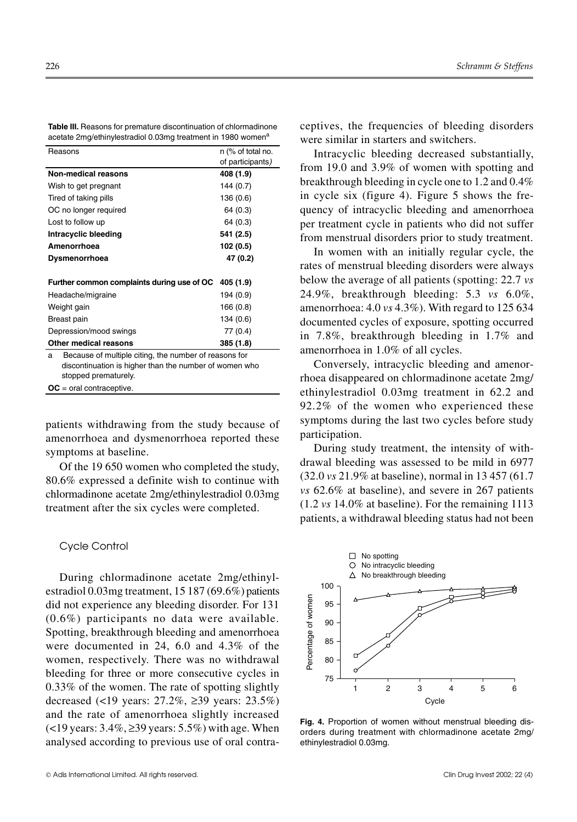| Table III. Reasons for premature discontinuation of chlormadinone        |
|--------------------------------------------------------------------------|
| acetate 2mg/ethinylestradiol 0.03mg treatment in 1980 women <sup>a</sup> |

| Reasons                                                                                                                                      | n (% of total no. |  |  |  |
|----------------------------------------------------------------------------------------------------------------------------------------------|-------------------|--|--|--|
|                                                                                                                                              | of participants)  |  |  |  |
| <b>Non-medical reasons</b>                                                                                                                   | 408 (1.9)         |  |  |  |
| Wish to get pregnant                                                                                                                         | 144 (0.7)         |  |  |  |
| Tired of taking pills                                                                                                                        | 136 (0.6)         |  |  |  |
| OC no longer required                                                                                                                        | 64 (0.3)          |  |  |  |
| Lost to follow up                                                                                                                            | 64 (0.3)          |  |  |  |
| Intracyclic bleeding                                                                                                                         | 541 (2.5)         |  |  |  |
| Amenorrhoea                                                                                                                                  | 102 (0.5)         |  |  |  |
| Dysmenorrhoea                                                                                                                                | 47 (0.2)          |  |  |  |
|                                                                                                                                              |                   |  |  |  |
| Further common complaints during use of OC                                                                                                   | 405 (1.9)         |  |  |  |
| Headache/migraine                                                                                                                            | 194 (0.9)         |  |  |  |
| Weight gain                                                                                                                                  | 166 (0.8)         |  |  |  |
| Breast pain                                                                                                                                  | 134 (0.6)         |  |  |  |
| Depression/mood swings                                                                                                                       | 77 (0.4)          |  |  |  |
| Other medical reasons                                                                                                                        | 385 (1.8)         |  |  |  |
| Because of multiple citing, the number of reasons for<br>a<br>discontinuation is higher than the number of women who<br>stopped prematurely. |                   |  |  |  |
| $OC = oral contractive.$                                                                                                                     |                   |  |  |  |

patients withdrawing from the study because of amenorrhoea and dysmenorrhoea reported these symptoms at baseline.

Of the 19 650 women who completed the study, 80.6% expressed a definite wish to continue with chlormadinone acetate 2mg/ethinylestradiol 0.03mg treatment after the six cycles were completed.

#### Cycle Control

During chlormadinone acetate 2mg/ethinylestradiol 0.03mg treatment, 15 187 (69.6%) patients did not experience any bleeding disorder. For 131 (0.6%) participants no data were available. Spotting, breakthrough bleeding and amenorrhoea were documented in 24, 6.0 and 4.3% of the women, respectively. There was no withdrawal bleeding for three or more consecutive cycles in 0.33% of the women. The rate of spotting slightly decreased (<19 years: 27.2%, ≥39 years: 23.5%) and the rate of amenorrhoea slightly increased (<19 years: 3.4%, ≥39 years: 5.5%) with age. When analysed according to previous use of oral contraceptives, the frequencies of bleeding disorders were similar in starters and switchers.

Intracyclic bleeding decreased substantially, from 19.0 and 3.9% of women with spotting and breakthrough bleeding in cycle one to 1.2 and 0.4% in cycle six (figure 4). Figure 5 shows the frequency of intracyclic bleeding and amenorrhoea per treatment cycle in patients who did not suffer from menstrual disorders prior to study treatment.

In women with an initially regular cycle, the rates of menstrual bleeding disorders were always below the average of all patients (spotting: 22.7 *vs* 24.9%, breakthrough bleeding: 5.3 *vs* 6.0%, amenorrhoea: 4.0 *vs* 4.3%). With regard to 125 634 documented cycles of exposure, spotting occurred in 7.8%, breakthrough bleeding in 1.7% and amenorrhoea in 1.0% of all cycles.

Conversely, intracyclic bleeding and amenorrhoea disappeared on chlormadinone acetate 2mg/ ethinylestradiol 0.03mg treatment in 62.2 and 92.2% of the women who experienced these symptoms during the last two cycles before study participation.

During study treatment, the intensity of withdrawal bleeding was assessed to be mild in 6977 (32.0 *vs* 21.9% at baseline), normal in 13 457 (61.7 *vs* 62.6% at baseline), and severe in 267 patients (1.2 *vs* 14.0% at baseline). For the remaining 1113 patients, a withdrawal bleeding status had not been



**Fig. 4.** Proportion of women without menstrual bleeding disorders during treatment with chlormadinone acetate 2mg/ ethinylestradiol 0.03mg.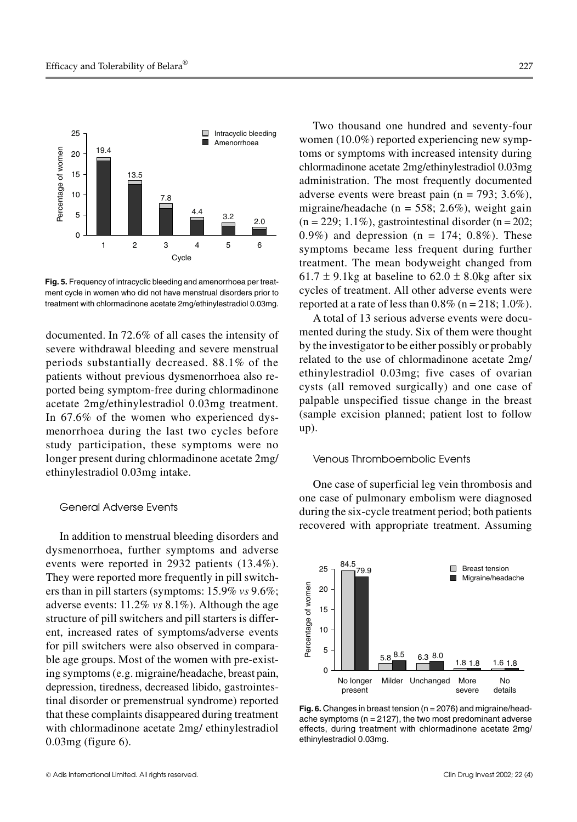

**Fig. 5.** Frequency of intracyclic bleeding and amenorrhoea per treatment cycle in women who did not have menstrual disorders prior to treatment with chlormadinone acetate 2mg/ethinylestradiol 0.03mg.

documented. In 72.6% of all cases the intensity of severe withdrawal bleeding and severe menstrual periods substantially decreased. 88.1% of the patients without previous dysmenorrhoea also reported being symptom-free during chlormadinone acetate 2mg/ethinylestradiol 0.03mg treatment. In 67.6% of the women who experienced dysmenorrhoea during the last two cycles before study participation, these symptoms were no longer present during chlormadinone acetate 2mg/ ethinylestradiol 0.03mg intake.

# General Adverse Events

In addition to menstrual bleeding disorders and dysmenorrhoea, further symptoms and adverse events were reported in 2932 patients (13.4%). They were reported more frequently in pill switchers than in pill starters (symptoms: 15.9% *vs* 9.6%; adverse events: 11.2% *vs* 8.1%). Although the age structure of pill switchers and pill starters is different, increased rates of symptoms/adverse events for pill switchers were also observed in comparable age groups. Most of the women with pre-existing symptoms (e.g. migraine/headache, breast pain, depression, tiredness, decreased libido, gastrointestinal disorder or premenstrual syndrome) reported that these complaints disappeared during treatment with chlormadinone acetate 2mg/ ethinylestradiol 0.03mg (figure 6).

Two thousand one hundred and seventy-four women (10.0%) reported experiencing new symptoms or symptoms with increased intensity during chlormadinone acetate 2mg/ethinylestradiol 0.03mg administration. The most frequently documented adverse events were breast pain ( $n = 793$ ; 3.6%), migraine/headache (n = 558; 2.6%), weight gain  $(n = 229; 1.1\%)$ , gastrointestinal disorder  $(n = 202;$ 0.9%) and depression ( $n = 174$ ; 0.8%). These symptoms became less frequent during further treatment. The mean bodyweight changed from 61.7  $\pm$  9.1kg at baseline to 62.0  $\pm$  8.0kg after six cycles of treatment. All other adverse events were reported at a rate of less than  $0.8\%$  (n = 218; 1.0%).

A total of 13 serious adverse events were documented during the study. Six of them were thought by the investigator to be either possibly or probably related to the use of chlormadinone acetate 2mg/ ethinylestradiol 0.03mg; five cases of ovarian cysts (all removed surgically) and one case of palpable unspecified tissue change in the breast (sample excision planned; patient lost to follow up).

#### Venous Thromboembolic Events

One case of superficial leg vein thrombosis and one case of pulmonary embolism were diagnosed during the six-cycle treatment period; both patients recovered with appropriate treatment. Assuming



**Fig. 6.** Changes in breast tension (n = 2076) and migraine/headache symptoms ( $n = 2127$ ), the two most predominant adverse effects, during treatment with chlormadinone acetate 2mg/ ethinylestradiol 0.03mg.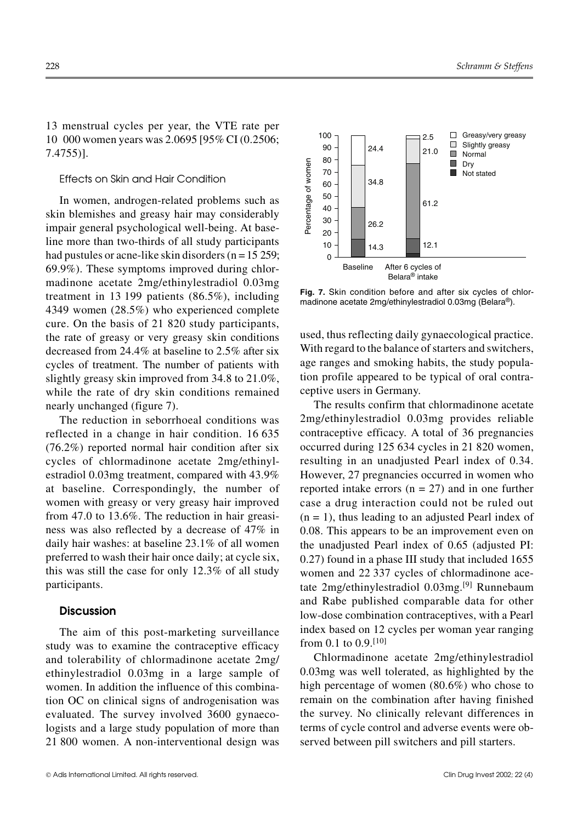13 menstrual cycles per year, the VTE rate per 10 000 women years was 2.0695 [95% CI (0.2506; 7.4755)].

### Effects on Skin and Hair Condition

In women, androgen-related problems such as skin blemishes and greasy hair may considerably impair general psychological well-being. At baseline more than two-thirds of all study participants had pustules or acne-like skin disorders ( $n = 15259$ ; 69.9%). These symptoms improved during chlormadinone acetate 2mg/ethinylestradiol 0.03mg treatment in 13 199 patients (86.5%), including 4349 women (28.5%) who experienced complete cure. On the basis of 21 820 study participants, the rate of greasy or very greasy skin conditions decreased from 24.4% at baseline to 2.5% after six cycles of treatment. The number of patients with slightly greasy skin improved from 34.8 to 21.0%, while the rate of dry skin conditions remained nearly unchanged (figure 7).

The reduction in seborrhoeal conditions was reflected in a change in hair condition. 16 635 (76.2%) reported normal hair condition after six cycles of chlormadinone acetate 2mg/ethinylestradiol 0.03mg treatment, compared with 43.9% at baseline. Correspondingly, the number of women with greasy or very greasy hair improved from 47.0 to 13.6%. The reduction in hair greasiness was also reflected by a decrease of 47% in daily hair washes: at baseline 23.1% of all women preferred to wash their hair once daily; at cycle six, this was still the case for only 12.3% of all study participants.

#### **Discussion**

The aim of this post-marketing surveillance study was to examine the contraceptive efficacy and tolerability of chlormadinone acetate 2mg/ ethinylestradiol 0.03mg in a large sample of women. In addition the influence of this combination OC on clinical signs of androgenisation was evaluated. The survey involved 3600 gynaecologists and a large study population of more than 21 800 women. A non-interventional design was



**Fig. 7.** Skin condition before and after six cycles of chlormadinone acetate 2mg/ethinylestradiol 0.03mg (Belara®).

used, thus reflecting daily gynaecological practice. With regard to the balance of starters and switchers, age ranges and smoking habits, the study population profile appeared to be typical of oral contraceptive users in Germany.

The results confirm that chlormadinone acetate 2mg/ethinylestradiol 0.03mg provides reliable contraceptive efficacy. A total of 36 pregnancies occurred during 125 634 cycles in 21 820 women, resulting in an unadjusted Pearl index of 0.34. However, 27 pregnancies occurred in women who reported intake errors  $(n = 27)$  and in one further case a drug interaction could not be ruled out  $(n = 1)$ , thus leading to an adjusted Pearl index of 0.08. This appears to be an improvement even on the unadjusted Pearl index of 0.65 (adjusted PI: 0.27) found in a phase III study that included 1655 women and 22 337 cycles of chlormadinone acetate 2mg/ethinylestradiol 0.03mg.[9] Runnebaum and Rabe published comparable data for other low-dose combination contraceptives, with a Pearl index based on 12 cycles per woman year ranging from 0.1 to 0.9.[10] **E** 8 To<br>  $\frac{80}{20}$ <br>  $\frac{80}{20}$ <br>  $\frac{80}{20}$ <br>  $\frac{26.2}{20}$ <br>  $\frac{14.3}{20}$ <br>  $\frac{12.1}{20}$ <br>  $\frac{14.3}{20}$ <br>  $\frac{12.1}{20}$ <br>  $\frac{12.1}{20}$ <br>  $\frac{12.2}{20}$ <br>  $\frac{12.1}{20}$ <br>  $\frac{12.1}{20}$ <br>  $\frac{12.1}{20}$ <br>  $\frac{12.1}{20}$ <br>  $\frac{12.$ 

Chlormadinone acetate 2mg/ethinylestradiol 0.03mg was well tolerated, as highlighted by the high percentage of women (80.6%) who chose to remain on the combination after having finished the survey. No clinically relevant differences in terms of cycle control and adverse events were ob-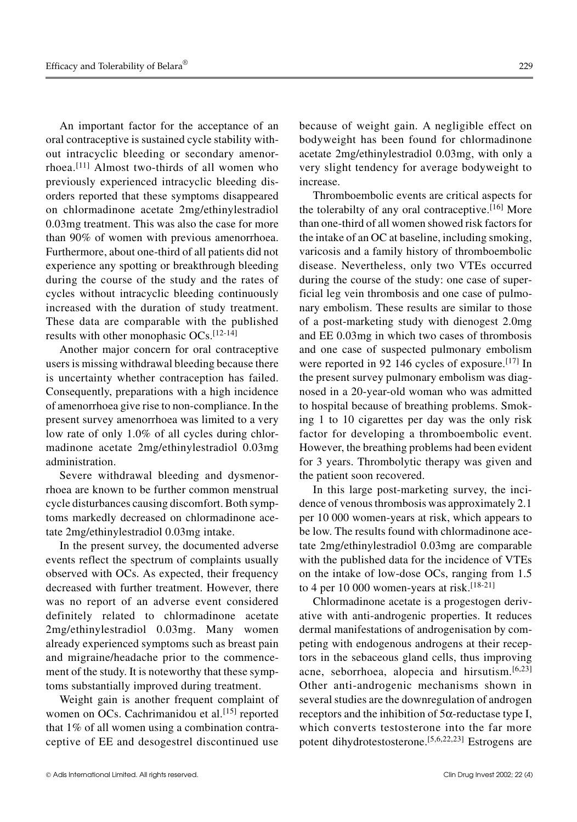An important factor for the acceptance of an oral contraceptive is sustained cycle stability without intracyclic bleeding or secondary amenorrhoea.[11] Almost two-thirds of all women who previously experienced intracyclic bleeding disorders reported that these symptoms disappeared on chlormadinone acetate 2mg/ethinylestradiol 0.03mg treatment. This was also the case for more than 90% of women with previous amenorrhoea. Furthermore, about one-third of all patients did not experience any spotting or breakthrough bleeding during the course of the study and the rates of cycles without intracyclic bleeding continuously increased with the duration of study treatment. These data are comparable with the published results with other monophasic OCs.[12-14]

Another major concern for oral contraceptive users is missing withdrawal bleeding because there is uncertainty whether contraception has failed. Consequently, preparations with a high incidence of amenorrhoea give rise to non-compliance. In the present survey amenorrhoea was limited to a very low rate of only 1.0% of all cycles during chlormadinone acetate 2mg/ethinylestradiol 0.03mg administration.

Severe withdrawal bleeding and dysmenorrhoea are known to be further common menstrual cycle disturbances causing discomfort. Both symptoms markedly decreased on chlormadinone acetate 2mg/ethinylestradiol 0.03mg intake.

In the present survey, the documented adverse events reflect the spectrum of complaints usually observed with OCs. As expected, their frequency decreased with further treatment. However, there was no report of an adverse event considered definitely related to chlormadinone acetate 2mg/ethinylestradiol 0.03mg. Many women already experienced symptoms such as breast pain and migraine/headache prior to the commencement of the study. It is noteworthy that these symptoms substantially improved during treatment.

Weight gain is another frequent complaint of women on OCs. Cachrimanidou et al.<sup>[15]</sup> reported that 1% of all women using a combination contraceptive of EE and desogestrel discontinued use

because of weight gain. A negligible effect on bodyweight has been found for chlormadinone acetate 2mg/ethinylestradiol 0.03mg, with only a very slight tendency for average bodyweight to increase.

Thromboembolic events are critical aspects for the tolerabilty of any oral contraceptive.[16] More than one-third of all women showed risk factors for the intake of an OC at baseline, including smoking, varicosis and a family history of thromboembolic disease. Nevertheless, only two VTEs occurred during the course of the study: one case of superficial leg vein thrombosis and one case of pulmonary embolism. These results are similar to those of a post-marketing study with dienogest 2.0mg and EE 0.03mg in which two cases of thrombosis and one case of suspected pulmonary embolism were reported in 92 146 cycles of exposure.<sup>[17]</sup> In the present survey pulmonary embolism was diagnosed in a 20-year-old woman who was admitted to hospital because of breathing problems. Smoking 1 to 10 cigarettes per day was the only risk factor for developing a thromboembolic event. However, the breathing problems had been evident for 3 years. Thrombolytic therapy was given and the patient soon recovered.

In this large post-marketing survey, the incidence of venous thrombosis was approximately 2.1 per 10 000 women-years at risk, which appears to be low. The results found with chlormadinone acetate 2mg/ethinylestradiol 0.03mg are comparable with the published data for the incidence of VTEs on the intake of low-dose OCs, ranging from 1.5 to 4 per 10 000 women-years at risk.<sup>[18-21]</sup>

Chlormadinone acetate is a progestogen derivative with anti-androgenic properties. It reduces dermal manifestations of androgenisation by competing with endogenous androgens at their receptors in the sebaceous gland cells, thus improving acne, seborrhoea, alopecia and hirsutism.[6,23] Other anti-androgenic mechanisms shown in several studies are the downregulation of androgen receptors and the inhibition of 5α-reductase type I, which converts testosterone into the far more potent dihydrotestosterone.[5,6,22,23] Estrogens are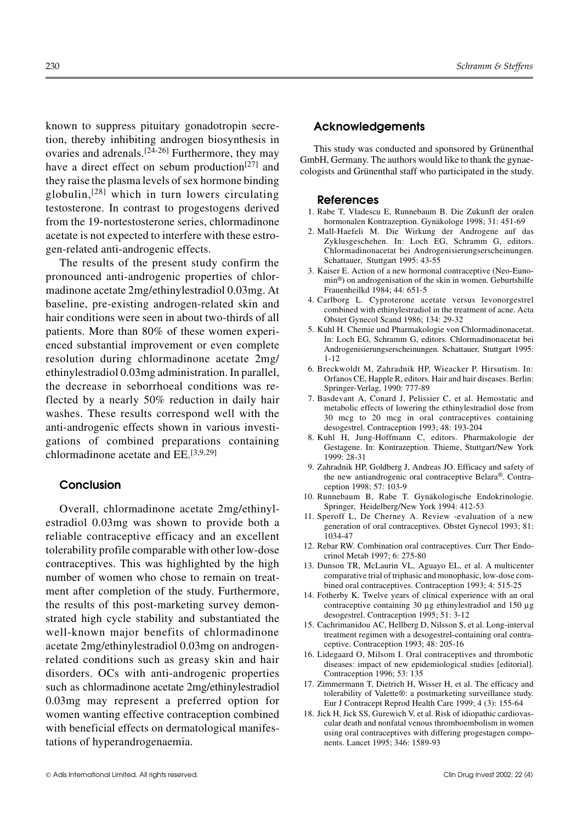known to suppress pituitary gonadotropin secretion, thereby inhibiting androgen biosynthesis in ovaries and adrenals.<sup>[24-26]</sup> Furthermore, they may have a direct effect on sebum production<sup>[27]</sup> and they raise the plasma levels of sex hormone binding globulin,[28] which in turn lowers circulating testosterone. In contrast to progestogens derived from the 19-nortestosterone series, chlormadinone acetate is not expected to interfere with these estrogen-related anti-androgenic effects.

The results of the present study confirm the pronounced anti-androgenic properties of chlormadinone acetate 2mg/ethinylestradiol 0.03mg. At baseline, pre-existing androgen-related skin and hair conditions were seen in about two-thirds of all patients. More than 80% of these women experienced substantial improvement or even complete resolution during chlormadinone acetate 2mg/ ethinylestradiol 0.03mg administration. In parallel, the decrease in seborrhoeal conditions was reflected by a nearly 50% reduction in daily hair washes. These results correspond well with the anti-androgenic effects shown in various investigations of combined preparations containing chlormadinone acetate and EE.[3,9,29]

# **Conclusion**

Overall, chlormadinone acetate 2mg/ethinylestradiol 0.03mg was shown to provide both a reliable contraceptive efficacy and an excellent tolerability profile comparable with other low-dose contraceptives. This was highlighted by the high number of women who chose to remain on treatment after completion of the study. Furthermore, the results of this post-marketing survey demonstrated high cycle stability and substantiated the well-known major benefits of chlormadinone acetate 2mg/ethinylestradiol 0.03mg on androgenrelated conditions such as greasy skin and hair disorders. OCs with anti-androgenic properties such as chlormadinone acetate 2mg/ethinylestradiol 0.03mg may represent a preferred option for women wanting effective contraception combined with beneficial effects on dermatological manifestations of hyperandrogenaemia.

# **Acknowledgements**

This study was conducted and sponsored by Grünenthal GmbH, Germany. The authors would like to thank the gynaecologists and Grünenthal staff who participated in the study.

#### **References**

- 1. Rabe T, Vladescu E, Runnebaum B. Die Zukunft der oralen hormonalen Kontrazeption. Gynäkologe 1998; 31: 451-69
- 2. Mall-Haefeli M. Die Wirkung der Androgene auf das Zyklusgeschehen. In: Loch EG, Schramm G, editors. Chlormadinonacetat bei Androgenisierungserscheinungen. Schattauer, Stuttgart 1995: 43-55
- 3. Kaiser E. Action of a new hormonal contraceptive (Neo-Eunomin®) on androgenisation of the skin in women. Geburtshilfe Frauenheilkd 1984; 44: 651-5
- 4. Carlborg L. Cyproterone acetate versus levonorgestrel combined with ethinylestradiol in the treatment of acne. Acta Obstet Gynecol Scand 1986; 134: 29-32
- 5. Kuhl H. Chemie und Pharmakologie von Chlormadinonacetat. In: Loch EG, Schramm G, editors. Chlormadinonacetat bei Androgenisierungserscheinungen. Schattauer, Stuttgart 1995: 1-12
- 6. Breckwoldt M, Zahradnik HP, Wieacker P. Hirsutism. In: Orfanos CE, Happle R, editors. Hair and hair diseases. Berlin: Springer-Verlag, 1990: 777-89
- 7. Basdevant A, Conard J, Pelissier C, et al. Hemostatic and metabolic effects of lowering the ethinylestradiol dose from 30 mcg to 20 mcg in oral contraceptives containing desogestrel. Contraception 1993; 48: 193-204
- 8. Kuhl H, Jung-Hoffmann C, editors. Pharmakologie der Gestagene. In: Kontrazeption. Thieme, Stuttgart/New York 1999: 28-31
- 9. Zahradnik HP, Goldberg J, Andreas JO. Efficacy and safety of the new antiandrogenic oral contraceptive Belara®. Contraception 1998; 57: 103-9
- 10. Runnebaum B, Rabe T. Gynäkologische Endokrinologie. Springer, Heidelberg/New York 1994: 412-53
- 11. Speroff L, De Cherney A. Review -evaluation of a new generation of oral contraceptives. Obstet Gynecol 1993; 81: 1034-47
- 12. Rebar RW. Combination oral contraceptives. Curr Ther Endocrinol Metab 1997; 6: 275-80
- 13. Dunson TR, McLaurin VL, Aguayo EL, et al. A multicenter comparative trial of triphasic and monophasic, low-dose combined oral contraceptives. Contraception 1993; 4: 515-25
- 14. Fotherby K. Twelve years of clinical experience with an oral contraceptive containing 30 μg ethinylestradiol and 150 μg desogestrel. Contraception 1995; 51: 3-12
- 15. Cachrimanidou AC, Hellberg D, Nilsson S, et al. Long-interval treatment regimen with a desogestrel-containing oral contraceptive. Contraception 1993; 48: 205-16
- 16. Lidegaard O, Milsom I. Oral contraceptives and thrombotic diseases: impact of new epidemiological studies [editorial]. Contraception 1996; 53: 135
- 17. Zimmermann T, Dietrich H, Wisser H, et al. The efficacy and tolerability of Valette®: a postmarketing surveillance study. Eur J Contracept Reprod Health Care 1999; 4 (3): 155-64
- 18. Jick H, Jick SS, Gurewich V, et al. Risk of idiopathic cardiovascular death and nonfatal venous thromboembolism in women using oral contraceptives with differing progestagen components. Lancet 1995; 346: 1589-93